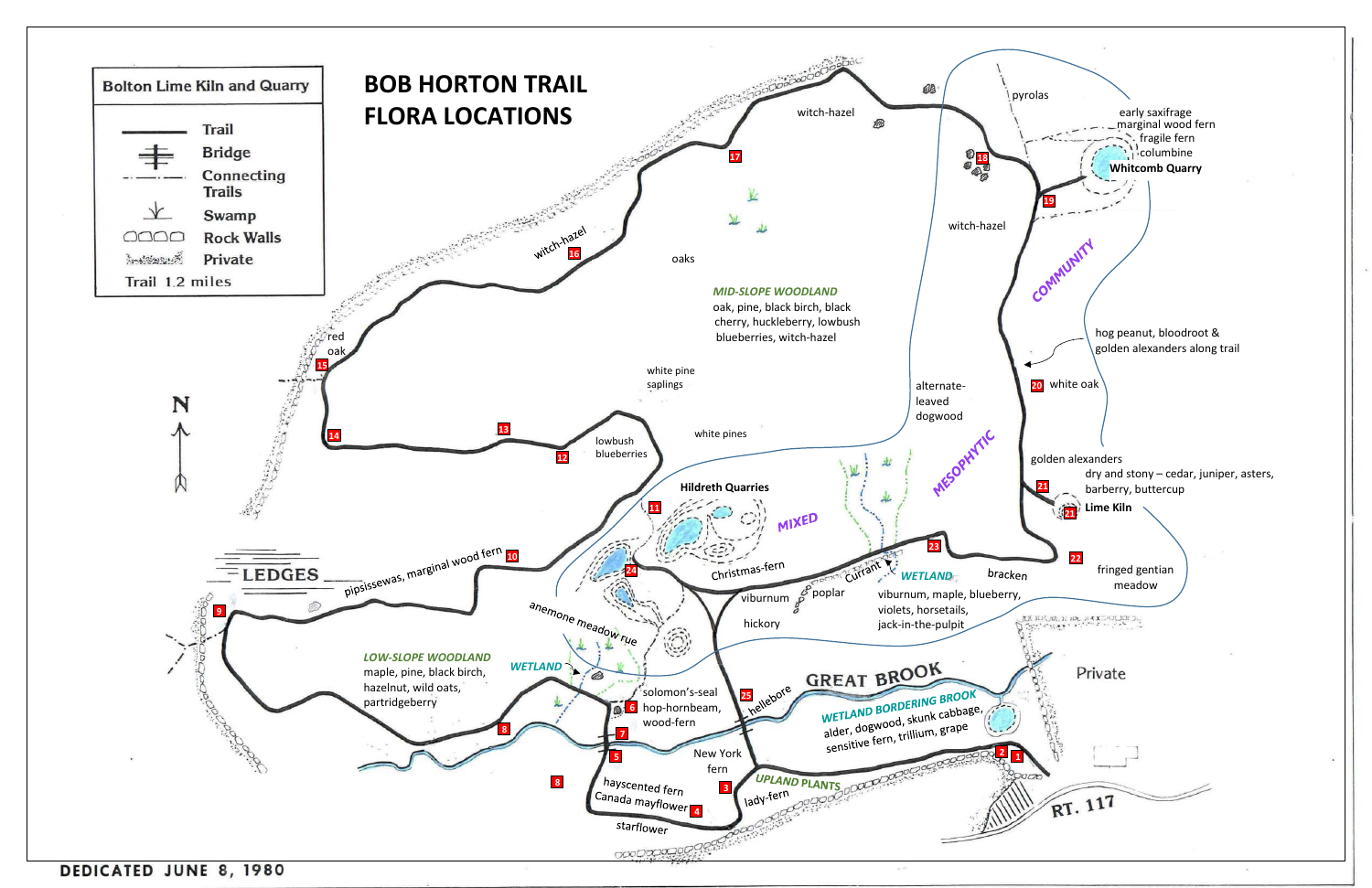